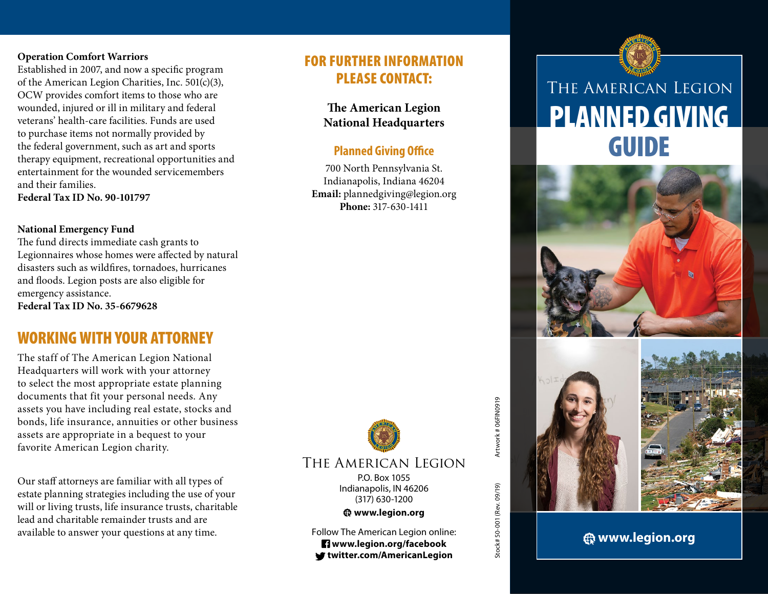### **Operation Comfort Warriors**

Established in 2007, and now a specific program of the American Legion Charities, Inc.  $501(c)(3)$ , OCW provides comfort items to those who are wounded, injured or ill in military and federal veterans' health-care facilities. Funds are used to purchase items not normally provided by the federal government, such as art and sports therapy equipment, recreational opportunities and entertainment for the wounded servicemembers and their families. **Federal Tax ID No. 90-101797**

#### **National Emergency Fund**

The fund directs immediate cash grants to Legionnaires whose homes were affected by natural disasters such as wildfires, tornadoes, hurricanes and floods. Legion posts are also eligible for emergency assistance. **Federal Tax ID No. 35-6679628** 

# WORKING WITH YOUR ATTORNEY

The staff of The American Legion National Headquarters will work with your attorney to select the most appropriate estate planning documents that fit your personal needs. Any assets you have including real estate, stocks and bonds, life insurance, annuities or other business assets are appropriate in a bequest to your favorite American Legion charity.

Our staff attorneys are familiar with all types of estate planning strategies including the use of your will or living trusts, life insurance trusts, charitable lead and charitable remainder trusts and are available to answer your questions at any time.

# FOR FURTHER INFORMATION PLEASE CONTACT:

**The American Legion National Headquarters**

# **Planned Giving Office**

700 North Pennsylvania St. Indianapolis, Indiana 46204 **Email:** plannedgiving@legion.org **Phone:** 317-630-1411



Stock# 50-001 (Rev. 09/19) Artwork # 06FIN0919

Stock# 50-001 (Rev. 09/19)

Artwork # 06FIN0919

# The American Legion

P.O. Box 1055 Indianapolis, IN 46206 (317) 630-1200

### **www.legion.org**

Follow The American Legion online:  **www.legion.org/facebook twitter.com/AmericanLegion**

# PLANNED GIVING GUIDE The American Legion